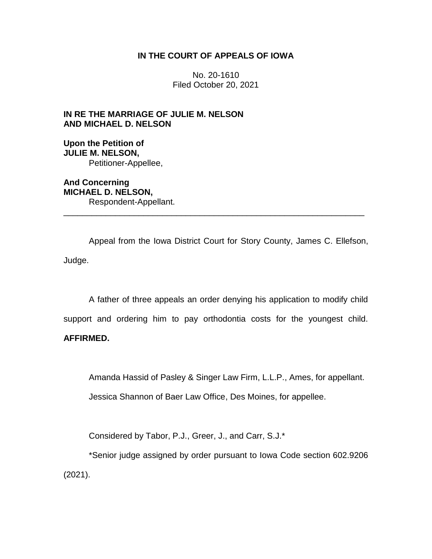## **IN THE COURT OF APPEALS OF IOWA**

No. 20-1610 Filed October 20, 2021

# **IN RE THE MARRIAGE OF JULIE M. NELSON AND MICHAEL D. NELSON**

**Upon the Petition of JULIE M. NELSON,** Petitioner-Appellee,

**And Concerning MICHAEL D. NELSON,** Respondent-Appellant. \_\_\_\_\_\_\_\_\_\_\_\_\_\_\_\_\_\_\_\_\_\_\_\_\_\_\_\_\_\_\_\_\_\_\_\_\_\_\_\_\_\_\_\_\_\_\_\_\_\_\_\_\_\_\_\_\_\_\_\_\_\_\_\_

Appeal from the Iowa District Court for Story County, James C. Ellefson, Judge.

A father of three appeals an order denying his application to modify child support and ordering him to pay orthodontia costs for the youngest child.

# **AFFIRMED.**

Amanda Hassid of Pasley & Singer Law Firm, L.L.P., Ames, for appellant.

Jessica Shannon of Baer Law Office, Des Moines, for appellee.

Considered by Tabor, P.J., Greer, J., and Carr, S.J.\*

\*Senior judge assigned by order pursuant to Iowa Code section 602.9206 (2021).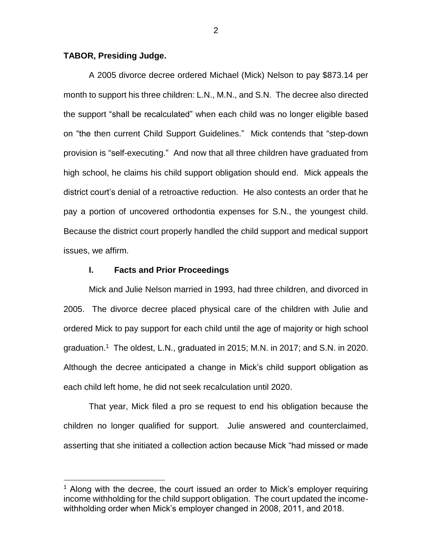## **TABOR, Presiding Judge.**

 $\overline{a}$ 

A 2005 divorce decree ordered Michael (Mick) Nelson to pay \$873.14 per month to support his three children: L.N., M.N., and S.N. The decree also directed the support "shall be recalculated" when each child was no longer eligible based on "the then current Child Support Guidelines." Mick contends that "step-down provision is "self-executing." And now that all three children have graduated from high school, he claims his child support obligation should end. Mick appeals the district court's denial of a retroactive reduction. He also contests an order that he pay a portion of uncovered orthodontia expenses for S.N., the youngest child. Because the district court properly handled the child support and medical support issues, we affirm.

## **I. Facts and Prior Proceedings**

Mick and Julie Nelson married in 1993, had three children, and divorced in 2005. The divorce decree placed physical care of the children with Julie and ordered Mick to pay support for each child until the age of majority or high school graduation.<sup>1</sup> The oldest, L.N., graduated in 2015; M.N. in 2017; and S.N. in 2020. Although the decree anticipated a change in Mick's child support obligation as each child left home, he did not seek recalculation until 2020.

That year, Mick filed a pro se request to end his obligation because the children no longer qualified for support. Julie answered and counterclaimed, asserting that she initiated a collection action because Mick "had missed or made

<sup>&</sup>lt;sup>1</sup> Along with the decree, the court issued an order to Mick's employer requiring income withholding for the child support obligation. The court updated the incomewithholding order when Mick's employer changed in 2008, 2011, and 2018.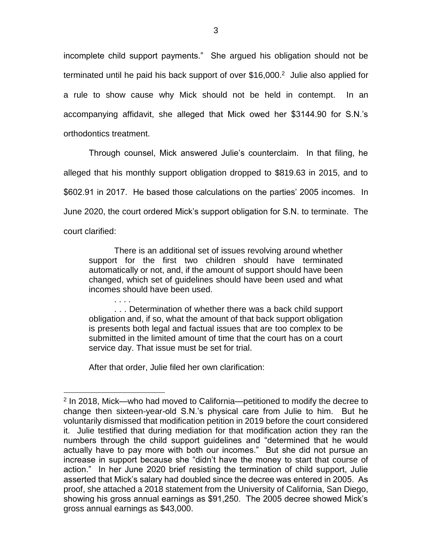incomplete child support payments." She argued his obligation should not be terminated until he paid his back support of over \$16,000.<sup>2</sup> Julie also applied for a rule to show cause why Mick should not be held in contempt. In an accompanying affidavit, she alleged that Mick owed her \$3144.90 for S.N.'s orthodontics treatment.

Through counsel, Mick answered Julie's counterclaim. In that filing, he alleged that his monthly support obligation dropped to \$819.63 in 2015, and to \$602.91 in 2017. He based those calculations on the parties' 2005 incomes. In June 2020, the court ordered Mick's support obligation for S.N. to terminate. The court clarified:

There is an additional set of issues revolving around whether support for the first two children should have terminated automatically or not, and, if the amount of support should have been changed, which set of guidelines should have been used and what incomes should have been used.

. . . . . . . Determination of whether there was a back child support obligation and, if so, what the amount of that back support obligation is presents both legal and factual issues that are too complex to be submitted in the limited amount of time that the court has on a court service day. That issue must be set for trial.

After that order, Julie filed her own clarification:

<sup>&</sup>lt;sup>2</sup> In 2018, Mick—who had moved to California—petitioned to modify the decree to change then sixteen-year-old S.N.'s physical care from Julie to him. But he voluntarily dismissed that modification petition in 2019 before the court considered it. Julie testified that during mediation for that modification action they ran the numbers through the child support guidelines and "determined that he would actually have to pay more with both our incomes." But she did not pursue an increase in support because she "didn't have the money to start that course of action." In her June 2020 brief resisting the termination of child support, Julie asserted that Mick's salary had doubled since the decree was entered in 2005. As proof, she attached a 2018 statement from the University of California, San Diego, showing his gross annual earnings as \$91,250. The 2005 decree showed Mick's gross annual earnings as \$43,000.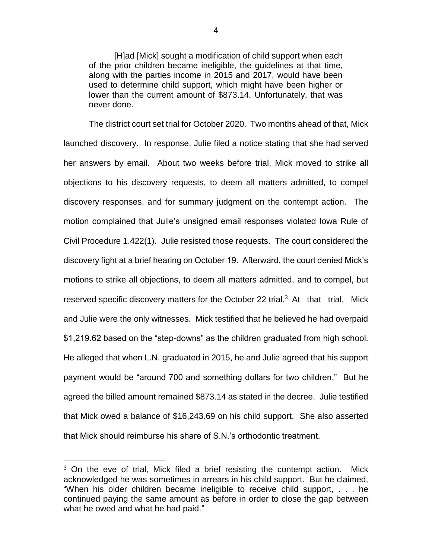[H]ad [Mick] sought a modification of child support when each of the prior children became ineligible, the guidelines at that time, along with the parties income in 2015 and 2017, would have been used to determine child support, which might have been higher or lower than the current amount of \$873.14. Unfortunately, that was never done.

The district court set trial for October 2020. Two months ahead of that, Mick launched discovery. In response, Julie filed a notice stating that she had served her answers by email. About two weeks before trial, Mick moved to strike all objections to his discovery requests, to deem all matters admitted, to compel discovery responses, and for summary judgment on the contempt action. The motion complained that Julie's unsigned email responses violated Iowa Rule of Civil Procedure 1.422(1). Julie resisted those requests. The court considered the discovery fight at a brief hearing on October 19. Afterward, the court denied Mick's motions to strike all objections, to deem all matters admitted, and to compel, but reserved specific discovery matters for the October 22 trial. $3$  At that trial, Mick and Julie were the only witnesses. Mick testified that he believed he had overpaid \$1,219.62 based on the "step-downs" as the children graduated from high school. He alleged that when L.N. graduated in 2015, he and Julie agreed that his support payment would be "around 700 and something dollars for two children." But he agreed the billed amount remained \$873.14 as stated in the decree. Julie testified that Mick owed a balance of \$16,243.69 on his child support. She also asserted that Mick should reimburse his share of S.N.'s orthodontic treatment.

 $3$  On the eve of trial, Mick filed a brief resisting the contempt action. Mick acknowledged he was sometimes in arrears in his child support. But he claimed, "When his older children became ineligible to receive child support, . . . he continued paying the same amount as before in order to close the gap between what he owed and what he had paid."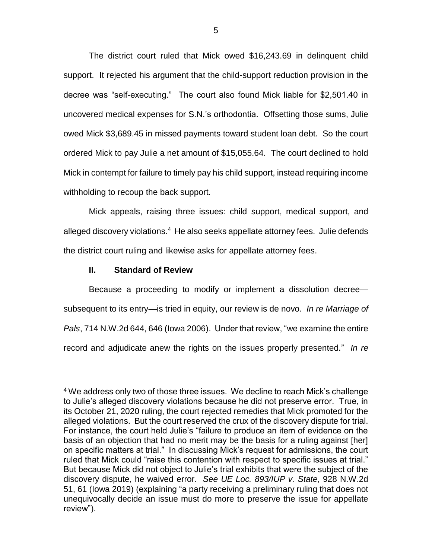The district court ruled that Mick owed \$16,243.69 in delinquent child support. It rejected his argument that the child-support reduction provision in the decree was "self-executing." The court also found Mick liable for \$2,501.40 in uncovered medical expenses for S.N.'s orthodontia. Offsetting those sums, Julie owed Mick \$3,689.45 in missed payments toward student loan debt. So the court ordered Mick to pay Julie a net amount of \$15,055.64. The court declined to hold Mick in contempt for failure to timely pay his child support, instead requiring income withholding to recoup the back support.

Mick appeals, raising three issues: child support, medical support, and alleged discovery violations.<sup>4</sup> He also seeks appellate attorney fees. Julie defends the district court ruling and likewise asks for appellate attorney fees.

## **II. Standard of Review**

 $\overline{a}$ 

Because a proceeding to modify or implement a dissolution decree subsequent to its entry—is tried in equity, our review is de novo. *In re Marriage of Pals*, 714 N.W.2d 644, 646 (Iowa 2006). Under that review, "we examine the entire record and adjudicate anew the rights on the issues properly presented." *In re*

<sup>&</sup>lt;sup>4</sup> We address only two of those three issues. We decline to reach Mick's challenge to Julie's alleged discovery violations because he did not preserve error. True, in its October 21, 2020 ruling, the court rejected remedies that Mick promoted for the alleged violations. But the court reserved the crux of the discovery dispute for trial. For instance, the court held Julie's "failure to produce an item of evidence on the basis of an objection that had no merit may be the basis for a ruling against [her] on specific matters at trial." In discussing Mick's request for admissions, the court ruled that Mick could "raise this contention with respect to specific issues at trial." But because Mick did not object to Julie's trial exhibits that were the subject of the discovery dispute, he waived error. *See UE Loc. 893/IUP v. State*, 928 N.W.2d 51, 61 (Iowa 2019) (explaining "a party receiving a preliminary ruling that does not unequivocally decide an issue must do more to preserve the issue for appellate review").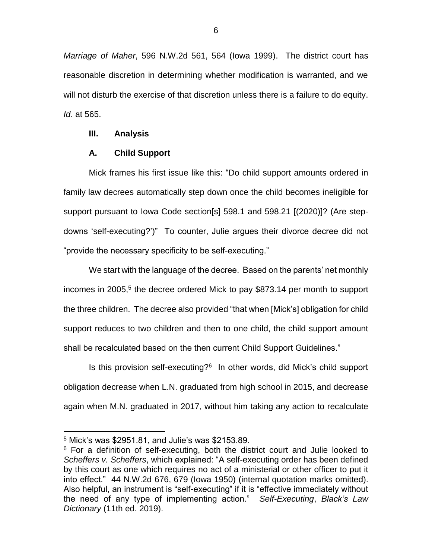*Marriage of Maher*, 596 N.W.2d 561, 564 (Iowa 1999). The district court has reasonable discretion in determining whether modification is warranted, and we will not disturb the exercise of that discretion unless there is a failure to do equity. *Id*. at 565.

#### **III. Analysis**

#### **A. Child Support**

Mick frames his first issue like this: "Do child support amounts ordered in family law decrees automatically step down once the child becomes ineligible for support pursuant to Iowa Code section[s] 598.1 and 598.21 [(2020)]? (Are stepdowns 'self-executing?')" To counter, Julie argues their divorce decree did not "provide the necessary specificity to be self-executing."

We start with the language of the decree. Based on the parents' net monthly incomes in 2005, 5 the decree ordered Mick to pay \$873.14 per month to support the three children. The decree also provided "that when [Mick's] obligation for child support reduces to two children and then to one child, the child support amount shall be recalculated based on the then current Child Support Guidelines."

Is this provision self-executing?<sup>6</sup> In other words, did Mick's child support obligation decrease when L.N. graduated from high school in 2015, and decrease again when M.N. graduated in 2017, without him taking any action to recalculate

<sup>5</sup> Mick's was \$2951.81, and Julie's was \$2153.89.

<sup>&</sup>lt;sup>6</sup> For a definition of self-executing, both the district court and Julie looked to *Scheffers v. Scheffers*, which explained: "A self-executing order has been defined by this court as one which requires no act of a ministerial or other officer to put it into effect." 44 N.W.2d 676, 679 (Iowa 1950) (internal quotation marks omitted). Also helpful, an instrument is "self-executing" if it is "effective immediately without the need of any type of implementing action." *Self-Executing*, *Black's Law Dictionary* (11th ed. 2019).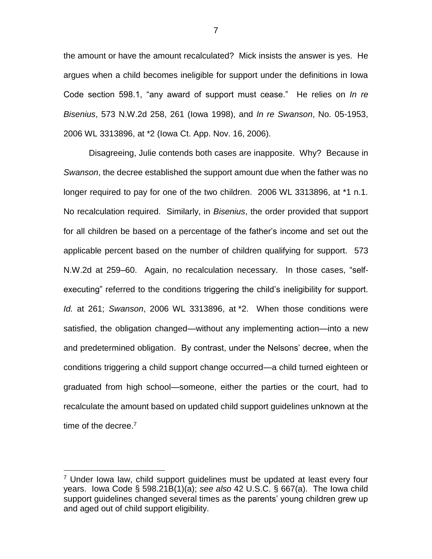the amount or have the amount recalculated? Mick insists the answer is yes. He argues when a child becomes ineligible for support under the definitions in Iowa Code section 598.1, "any award of support must cease." He relies on *In re Bisenius*, 573 N.W.2d 258, 261 (Iowa 1998), and *In re Swanson*, No. 05-1953, 2006 WL 3313896, at \*2 (Iowa Ct. App. Nov. 16, 2006).

Disagreeing, Julie contends both cases are inapposite. Why? Because in *Swanson*, the decree established the support amount due when the father was no longer required to pay for one of the two children. 2006 WL 3313896, at \*1 n.1. No recalculation required. Similarly, in *Bisenius*, the order provided that support for all children be based on a percentage of the father's income and set out the applicable percent based on the number of children qualifying for support. 573 N.W.2d at 259–60. Again, no recalculation necessary. In those cases, "selfexecuting" referred to the conditions triggering the child's ineligibility for support. *Id.* at 261; *Swanson*, 2006 WL 3313896, at \*2. When those conditions were satisfied, the obligation changed—without any implementing action—into a new and predetermined obligation. By contrast, under the Nelsons' decree, when the conditions triggering a child support change occurred—a child turned eighteen or graduated from high school—someone, either the parties or the court, had to recalculate the amount based on updated child support guidelines unknown at the time of the decree.<sup>7</sup>

 $7$  Under Iowa law, child support quidelines must be updated at least every four years. Iowa Code § 598.21B(1)(a); *see also* 42 U.S.C. § 667(a). The Iowa child support guidelines changed several times as the parents' young children grew up and aged out of child support eligibility.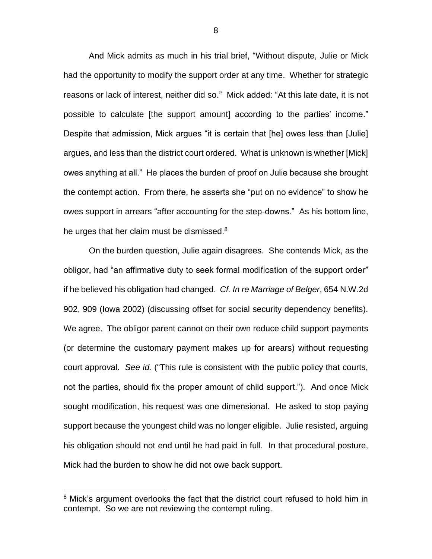And Mick admits as much in his trial brief, "Without dispute, Julie or Mick had the opportunity to modify the support order at any time. Whether for strategic reasons or lack of interest, neither did so." Mick added: "At this late date, it is not possible to calculate [the support amount] according to the parties' income." Despite that admission, Mick argues "it is certain that [he] owes less than [Julie] argues, and less than the district court ordered. What is unknown is whether [Mick] owes anything at all." He places the burden of proof on Julie because she brought the contempt action. From there, he asserts she "put on no evidence" to show he owes support in arrears "after accounting for the step-downs." As his bottom line, he urges that her claim must be dismissed.<sup>8</sup>

On the burden question, Julie again disagrees. She contends Mick, as the obligor, had "an affirmative duty to seek formal modification of the support order" if he believed his obligation had changed. *Cf. In re Marriage of Belger*, 654 N.W.2d 902, 909 (Iowa 2002) (discussing offset for social security dependency benefits). We agree. The obligor parent cannot on their own reduce child support payments (or determine the customary payment makes up for arears) without requesting court approval. *See id.* ("This rule is consistent with the public policy that courts, not the parties, should fix the proper amount of child support."). And once Mick sought modification, his request was one dimensional. He asked to stop paying support because the youngest child was no longer eligible. Julie resisted, arguing his obligation should not end until he had paid in full. In that procedural posture, Mick had the burden to show he did not owe back support.

<sup>&</sup>lt;sup>8</sup> Mick's argument overlooks the fact that the district court refused to hold him in contempt. So we are not reviewing the contempt ruling.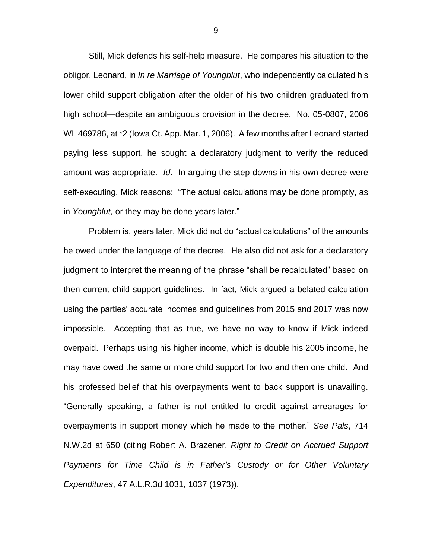Still, Mick defends his self-help measure. He compares his situation to the obligor, Leonard, in *In re Marriage of Youngblut*, who independently calculated his lower child support obligation after the older of his two children graduated from high school—despite an ambiguous provision in the decree. No. 05-0807, 2006 WL 469786, at \*2 (Iowa Ct. App. Mar. 1, 2006). A few months after Leonard started paying less support, he sought a declaratory judgment to verify the reduced amount was appropriate. *Id*. In arguing the step-downs in his own decree were self-executing, Mick reasons: "The actual calculations may be done promptly, as in *Youngblut,* or they may be done years later."

Problem is, years later, Mick did not do "actual calculations" of the amounts he owed under the language of the decree. He also did not ask for a declaratory judgment to interpret the meaning of the phrase "shall be recalculated" based on then current child support guidelines. In fact, Mick argued a belated calculation using the parties' accurate incomes and guidelines from 2015 and 2017 was now impossible. Accepting that as true, we have no way to know if Mick indeed overpaid. Perhaps using his higher income, which is double his 2005 income, he may have owed the same or more child support for two and then one child. And his professed belief that his overpayments went to back support is unavailing. "Generally speaking, a father is not entitled to credit against arrearages for overpayments in support money which he made to the mother." *See Pals*, 714 N.W.2d at 650 (citing Robert A. Brazener, *Right to Credit on Accrued Support Payments for Time Child is in Father's Custody or for Other Voluntary Expenditures*, 47 A.L.R.3d 1031, 1037 (1973)).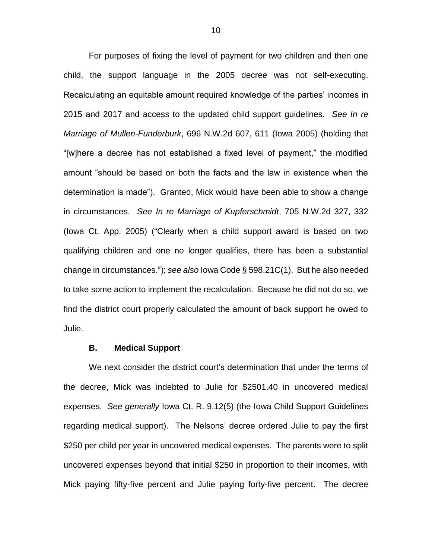For purposes of fixing the level of payment for two children and then one child, the support language in the 2005 decree was not self-executing. Recalculating an equitable amount required knowledge of the parties' incomes in 2015 and 2017 and access to the updated child support guidelines. *See In re Marriage of Mullen-Funderburk*, 696 N.W.2d 607, 611 (Iowa 2005) (holding that "[w]here a decree has not established a fixed level of payment," the modified amount "should be based on both the facts and the law in existence when the determination is made"). Granted, Mick would have been able to show a change in circumstances. *See In re Marriage of Kupferschmidt*, 705 N.W.2d 327, 332 (Iowa Ct. App. 2005) ("Clearly when a child support award is based on two qualifying children and one no longer qualifies, there has been a substantial change in circumstances."); *see also* Iowa Code § 598.21C(1). But he also needed to take some action to implement the recalculation. Because he did not do so, we find the district court properly calculated the amount of back support he owed to Julie.

## **B. Medical Support**

We next consider the district court's determination that under the terms of the decree, Mick was indebted to Julie for \$2501.40 in uncovered medical expenses. *See generally* Iowa Ct. R. 9.12(5) (the Iowa Child Support Guidelines regarding medical support). The Nelsons' decree ordered Julie to pay the first \$250 per child per year in uncovered medical expenses. The parents were to split uncovered expenses beyond that initial \$250 in proportion to their incomes, with Mick paying fifty-five percent and Julie paying forty-five percent. The decree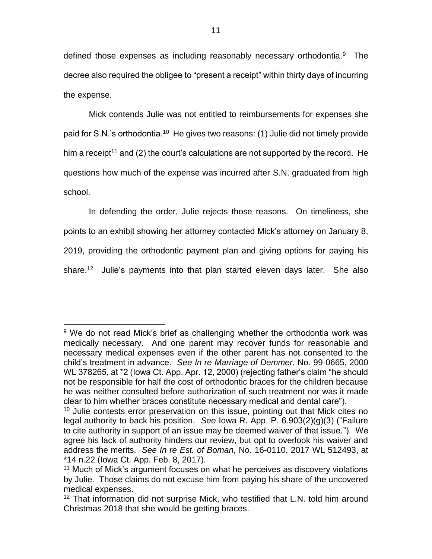defined those expenses as including reasonably necessary orthodontia.<sup>9</sup> The decree also required the obligee to "present a receipt" within thirty days of incurring the expense.

Mick contends Julie was not entitled to reimbursements for expenses she paid for S.N.'s orthodontia.<sup>10</sup> He gives two reasons: (1) Julie did not timely provide him a receipt<sup>11</sup> and (2) the court's calculations are not supported by the record. He questions how much of the expense was incurred after S.N. graduated from high school.

In defending the order, Julie rejects those reasons. On timeliness, she points to an exhibit showing her attorney contacted Mick's attorney on January 8, 2019, providing the orthodontic payment plan and giving options for paying his share.<sup>12</sup> Julie's payments into that plan started eleven days later. She also

 $9$  We do not read Mick's brief as challenging whether the orthodontia work was medically necessary. And one parent may recover funds for reasonable and necessary medical expenses even if the other parent has not consented to the child's treatment in advance. *See In re Marriage of Demmer*, No. 99-0665, 2000 WL 378265, at \*2 (Iowa Ct. App. Apr. 12, 2000) (rejecting father's claim "he should not be responsible for half the cost of orthodontic braces for the children because he was neither consulted before authorization of such treatment nor was it made clear to him whether braces constitute necessary medical and dental care").

<sup>&</sup>lt;sup>10</sup> Julie contests error preservation on this issue, pointing out that Mick cites no legal authority to back his position. *See* Iowa R. App. P. 6.903(2)(g)(3) ("Failure to cite authority in support of an issue may be deemed waiver of that issue."). We agree his lack of authority hinders our review, but opt to overlook his waiver and address the merits. *See In re Est. of Boman*, No. 16-0110, 2017 WL 512493, at \*14 n.22 (Iowa Ct. App. Feb. 8, 2017).

<sup>&</sup>lt;sup>11</sup> Much of Mick's argument focuses on what he perceives as discovery violations by Julie. Those claims do not excuse him from paying his share of the uncovered medical expenses.

<sup>&</sup>lt;sup>12</sup> That information did not surprise Mick, who testified that L.N. told him around Christmas 2018 that she would be getting braces.